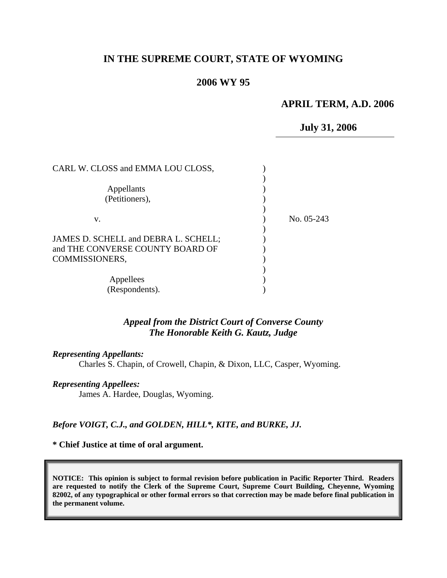## **IN THE SUPREME COURT, STATE OF WYOMING**

### **2006 WY 95**

#### **APRIL TERM, A.D. 2006**

**July 31, 2006** 

| CARL W. CLOSS and EMMA LOU CLOSS,                                                          |              |
|--------------------------------------------------------------------------------------------|--------------|
| Appellants<br>(Petitioners),                                                               |              |
| v.                                                                                         | No. $05-243$ |
| JAMES D. SCHELL and DEBRA L. SCHELL;<br>and THE CONVERSE COUNTY BOARD OF<br>COMMISSIONERS, |              |
| Appellees<br>(Respondents).                                                                |              |

### *Appeal from the District Court of Converse County The Honorable Keith G. Kautz, Judge*

#### *Representing Appellants:*

Charles S. Chapin, of Crowell, Chapin, & Dixon, LLC, Casper, Wyoming.

#### *Representing Appellees:*

James A. Hardee, Douglas, Wyoming.

#### *Before VOIGT, C.J., and GOLDEN, HILL\*, KITE, and BURKE, JJ.*

#### **\* Chief Justice at time of oral argument.**

**NOTICE: This opinion is subject to formal revision before publication in Pacific Reporter Third. Readers are requested to notify the Clerk of the Supreme Court, Supreme Court Building, Cheyenne, Wyoming 82002, of any typographical or other formal errors so that correction may be made before final publication in the permanent volume.**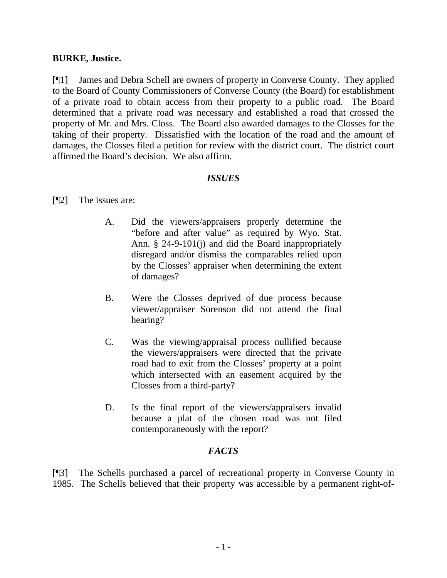### **BURKE, Justice.**

[¶1] James and Debra Schell are owners of property in Converse County. They applied to the Board of County Commissioners of Converse County (the Board) for establishment of a private road to obtain access from their property to a public road. The Board determined that a private road was necessary and established a road that crossed the property of Mr. and Mrs. Closs. The Board also awarded damages to the Closses for the taking of their property. Dissatisfied with the location of the road and the amount of damages, the Closses filed a petition for review with the district court. The district court affirmed the Board's decision. We also affirm.

### *ISSUES*

### [¶2] The issues are:

- A. Did the viewers/appraisers properly determine the "before and after value" as required by Wyo. Stat. Ann. § 24-9-101(j) and did the Board inappropriately disregard and/or dismiss the comparables relied upon by the Closses' appraiser when determining the extent of damages?
- B. Were the Closses deprived of due process because viewer/appraiser Sorenson did not attend the final hearing?
- C. Was the viewing/appraisal process nullified because the viewers/appraisers were directed that the private road had to exit from the Closses' property at a point which intersected with an easement acquired by the Closses from a third-party?
- D. Is the final report of the viewers/appraisers invalid because a plat of the chosen road was not filed contemporaneously with the report?

## *FACTS*

[¶3] The Schells purchased a parcel of recreational property in Converse County in 1985. The Schells believed that their property was accessible by a permanent right-of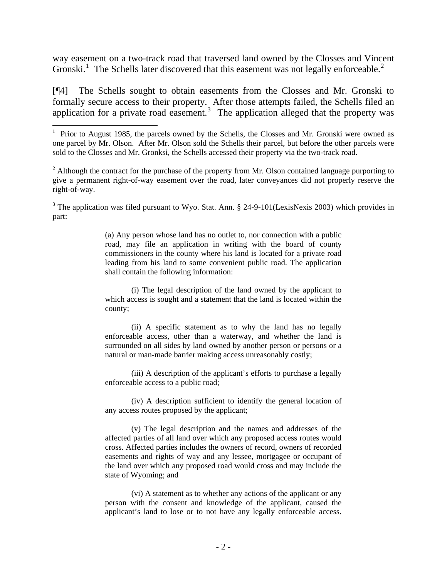way easement on a two-track road that traversed land owned by the Closses and Vincent Gronski.<sup>[1](#page-2-0)</sup> The Schells later discovered that this easement was not legally enforceable.<sup>[2](#page-2-1)</sup>

[¶4] The Schells sought to obtain easements from the Closses and Mr. Gronski to formally secure access to their property. After those attempts failed, the Schells filed an application for a private road easement.<sup>[3](#page-2-2)</sup> The application alleged that the property was

 $\overline{a}$ 

<span id="page-2-2"></span><sup>3</sup> The application was filed pursuant to Wyo. Stat. Ann. § 24-9-101(LexisNexis 2003) which provides in part:

> (a) Any person whose land has no outlet to, nor connection with a public road, may file an application in writing with the board of county commissioners in the county where his land is located for a private road leading from his land to some convenient public road. The application shall contain the following information:

> (i) The legal description of the land owned by the applicant to which access is sought and a statement that the land is located within the county;

> (ii) A specific statement as to why the land has no legally enforceable access, other than a waterway, and whether the land is surrounded on all sides by land owned by another person or persons or a natural or man-made barrier making access unreasonably costly;

> (iii) A description of the applicant's efforts to purchase a legally enforceable access to a public road;

> (iv) A description sufficient to identify the general location of any access routes proposed by the applicant;

> (v) The legal description and the names and addresses of the affected parties of all land over which any proposed access routes would cross. Affected parties includes the owners of record, owners of recorded easements and rights of way and any lessee, mortgagee or occupant of the land over which any proposed road would cross and may include the state of Wyoming; and

> (vi) A statement as to whether any actions of the applicant or any person with the consent and knowledge of the applicant, caused the applicant's land to lose or to not have any legally enforceable access.

<span id="page-2-0"></span><sup>&</sup>lt;sup>1</sup> Prior to August 1985, the parcels owned by the Schells, the Closses and Mr. Gronski were owned as one parcel by Mr. Olson. After Mr. Olson sold the Schells their parcel, but before the other parcels were sold to the Closses and Mr. Gronksi, the Schells accessed their property via the two-track road.

<span id="page-2-1"></span><sup>&</sup>lt;sup>2</sup> Although the contract for the purchase of the property from Mr. Olson contained language purporting to give a permanent right-of-way easement over the road, later conveyances did not properly reserve the right-of-way.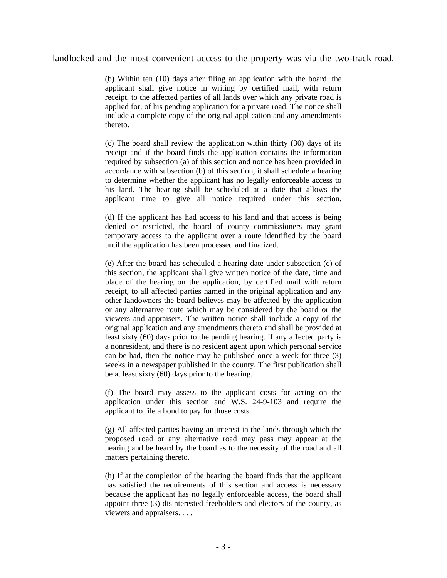landlocked and the most convenient access to the property was via the two-track road.

 $\overline{a}$ 

(b) Within ten (10) days after filing an application with the board, the applicant shall give notice in writing by certified mail, with return receipt, to the affected parties of all lands over which any private road is applied for, of his pending application for a private road. The notice shall include a complete copy of the original application and any amendments thereto.

(c) The board shall review the application within thirty (30) days of its receipt and if the board finds the application contains the information required by subsection (a) of this section and notice has been provided in accordance with subsection (b) of this section, it shall schedule a hearing to determine whether the applicant has no legally enforceable access to his land. The hearing shall be scheduled at a date that allows the applicant time to give all notice required under this section.

(d) If the applicant has had access to his land and that access is being denied or restricted, the board of county commissioners may grant temporary access to the applicant over a route identified by the board until the application has been processed and finalized.

(e) After the board has scheduled a hearing date under subsection (c) of this section, the applicant shall give written notice of the date, time and place of the hearing on the application, by certified mail with return receipt, to all affected parties named in the original application and any other landowners the board believes may be affected by the application or any alternative route which may be considered by the board or the viewers and appraisers. The written notice shall include a copy of the original application and any amendments thereto and shall be provided at least sixty (60) days prior to the pending hearing. If any affected party is a nonresident, and there is no resident agent upon which personal service can be had, then the notice may be published once a week for three (3) weeks in a newspaper published in the county. The first publication shall be at least sixty (60) days prior to the hearing.

(f) The board may assess to the applicant costs for acting on the application under this section and W.S. 24-9-103 and require the applicant to file a bond to pay for those costs.

(g) All affected parties having an interest in the lands through which the proposed road or any alternative road may pass may appear at the hearing and be heard by the board as to the necessity of the road and all matters pertaining thereto.

(h) If at the completion of the hearing the board finds that the applicant has satisfied the requirements of this section and access is necessary because the applicant has no legally enforceable access, the board shall appoint three (3) disinterested freeholders and electors of the county, as viewers and appraisers. . . .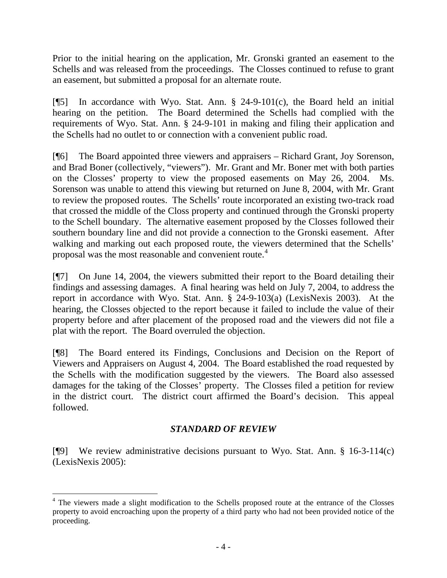Prior to the initial hearing on the application, Mr. Gronski granted an easement to the Schells and was released from the proceedings. The Closses continued to refuse to grant an easement, but submitted a proposal for an alternate route.

[ $[$ 5] In accordance with Wyo. Stat. Ann. § 24-9-101(c), the Board held an initial hearing on the petition. The Board determined the Schells had complied with the requirements of Wyo. Stat. Ann. § 24-9-101 in making and filing their application and the Schells had no outlet to or connection with a convenient public road.

[¶6] The Board appointed three viewers and appraisers – Richard Grant, Joy Sorenson, and Brad Boner (collectively, "viewers"). Mr. Grant and Mr. Boner met with both parties on the Closses' property to view the proposed easements on May 26, 2004. Ms. Sorenson was unable to attend this viewing but returned on June 8, 2004, with Mr. Grant to review the proposed routes. The Schells' route incorporated an existing two-track road that crossed the middle of the Closs property and continued through the Gronski property to the Schell boundary. The alternative easement proposed by the Closses followed their southern boundary line and did not provide a connection to the Gronski easement. After walking and marking out each proposed route, the viewers determined that the Schells' proposal was the most reasonable and convenient route.[4](#page-4-0)

[¶7] On June 14, 2004, the viewers submitted their report to the Board detailing their findings and assessing damages. A final hearing was held on July 7, 2004, to address the report in accordance with Wyo. Stat. Ann. § 24-9-103(a) (LexisNexis 2003). At the hearing, the Closses objected to the report because it failed to include the value of their property before and after placement of the proposed road and the viewers did not file a plat with the report. The Board overruled the objection.

[¶8] The Board entered its Findings, Conclusions and Decision on the Report of Viewers and Appraisers on August 4, 2004. The Board established the road requested by the Schells with the modification suggested by the viewers. The Board also assessed damages for the taking of the Closses' property. The Closses filed a petition for review in the district court. The district court affirmed the Board's decision. This appeal followed.

# *STANDARD OF REVIEW*

[¶9] We review administrative decisions pursuant to Wyo. Stat. Ann. § 16-3-114(c) (LexisNexis 2005):

 $\overline{a}$ 

<span id="page-4-0"></span><sup>&</sup>lt;sup>4</sup> The viewers made a slight modification to the Schells proposed route at the entrance of the Closses property to avoid encroaching upon the property of a third party who had not been provided notice of the proceeding.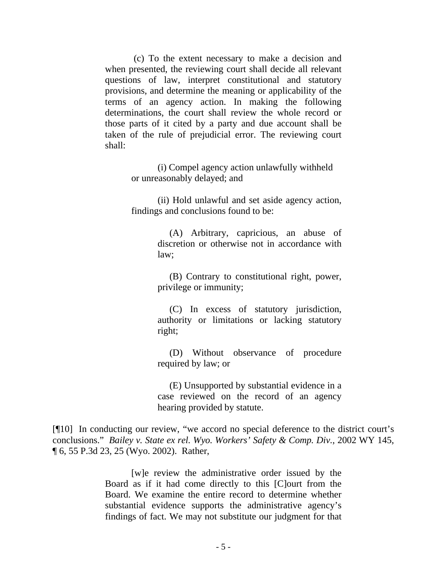(c) To the extent necessary to make a decision and when presented, the reviewing court shall decide all relevant questions of law, interpret constitutional and statutory provisions, and determine the meaning or applicability of the terms of an agency action. In making the following determinations, the court shall review the whole record or those parts of it cited by a party and due account shall be taken of the rule of prejudicial error. The reviewing court shall:

> (i) Compel agency action unlawfully withheld or unreasonably delayed; and

 (ii) Hold unlawful and set aside agency action, findings and conclusions found to be:

> (A) Arbitrary, capricious, an abuse of discretion or otherwise not in accordance with law;

> (B) Contrary to constitutional right, power, privilege or immunity;

> (C) In excess of statutory jurisdiction, authority or limitations or lacking statutory right;

> (D) Without observance of procedure required by law; or

> (E) Unsupported by substantial evidence in a case reviewed on the record of an agency hearing provided by statute.

[¶10] In conducting our review, "we accord no special deference to the district court's conclusions." *[Bailey v. State ex rel. Wyo. Workers' Safety & Comp. Div.](http://www.lexis.com/research/xlink?app=00075&view=full&searchtype=get&search=2002+WY+145%2C+P6)*, 2002 WY 145, [¶ 6, 55 P.3d 23, 25 \(Wyo. 2002\)](http://www.lexis.com/research/xlink?app=00075&view=full&searchtype=get&search=2002+WY+145%2C+P6). Rather,

> [w]e review the administrative order issued by the Board as if it had come directly to this [C]ourt from the Board. We examine the entire record to determine whether substantial evidence supports the administrative agency's findings of fact. We may not substitute our judgment for that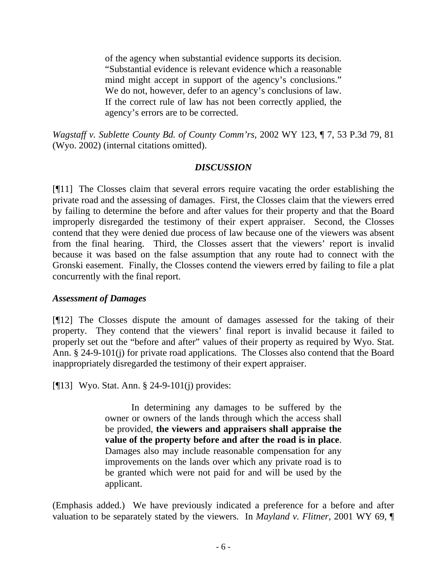of the agency when substantial evidence supports its decision. "Substantial evidence is relevant evidence which a reasonable mind might accept in support of the agency's conclusions." We do not, however, defer to an agency's conclusions of law. If the correct rule of law has not been correctly applied, the agency's errors are to be corrected.

*Wagstaff v. Sublette County Bd. of County Comm'rs*, 2002 WY 123, ¶ 7, 53 P.3d 79, 81 (Wyo. 2002) (internal citations omitted).

## *DISCUSSION*

[¶11] The Closses claim that several errors require vacating the order establishing the private road and the assessing of damages. First, the Closses claim that the viewers erred by failing to determine the before and after values for their property and that the Board improperly disregarded the testimony of their expert appraiser. Second, the Closses contend that they were denied due process of law because one of the viewers was absent from the final hearing. Third, the Closses assert that the viewers' report is invalid because it was based on the false assumption that any route had to connect with the Gronski easement. Finally, the Closses contend the viewers erred by failing to file a plat concurrently with the final report.

## *Assessment of Damages*

[¶12] The Closses dispute the amount of damages assessed for the taking of their property. They contend that the viewers' final report is invalid because it failed to properly set out the "before and after" values of their property as required by Wyo. Stat. Ann. § 24-9-101(j) for private road applications. The Closses also contend that the Board inappropriately disregarded the testimony of their expert appraiser.

[¶13] Wyo. Stat. Ann. § 24-9-101(j) provides:

 In determining any damages to be suffered by the owner or owners of the lands through which the access shall be provided, **the viewers and appraisers shall appraise the value of the property before and after the road is in place**. Damages also may include reasonable compensation for any improvements on the lands over which any private road is to be granted which were not paid for and will be used by the applicant.

(Emphasis added.) We have previously indicated a preference for a before and after valuation to be separately stated by the viewers. In *Mayland v. Flitner*, 2001 WY 69, ¶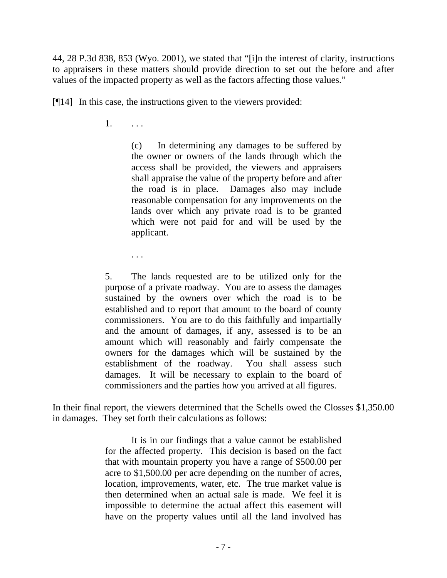44, 28 P.3d 838, 853 (Wyo. 2001), we stated that "[i]n the interest of clarity, instructions to appraisers in these matters should provide direction to set out the before and after values of the impacted property as well as the factors affecting those values."

[¶14] In this case, the instructions given to the viewers provided:

1. . . .

. . .

(c) In determining any damages to be suffered by the owner or owners of the lands through which the access shall be provided, the viewers and appraisers shall appraise the value of the property before and after the road is in place. Damages also may include reasonable compensation for any improvements on the lands over which any private road is to be granted which were not paid for and will be used by the applicant.

5. The lands requested are to be utilized only for the purpose of a private roadway. You are to assess the damages sustained by the owners over which the road is to be established and to report that amount to the board of county commissioners. You are to do this faithfully and impartially and the amount of damages, if any, assessed is to be an amount which will reasonably and fairly compensate the owners for the damages which will be sustained by the establishment of the roadway. You shall assess such damages. It will be necessary to explain to the board of commissioners and the parties how you arrived at all figures.

In their final report, the viewers determined that the Schells owed the Closses \$1,350.00 in damages. They set forth their calculations as follows:

> It is in our findings that a value cannot be established for the affected property. This decision is based on the fact that with mountain property you have a range of \$500.00 per acre to \$1,500.00 per acre depending on the number of acres, location, improvements, water, etc. The true market value is then determined when an actual sale is made. We feel it is impossible to determine the actual affect this easement will have on the property values until all the land involved has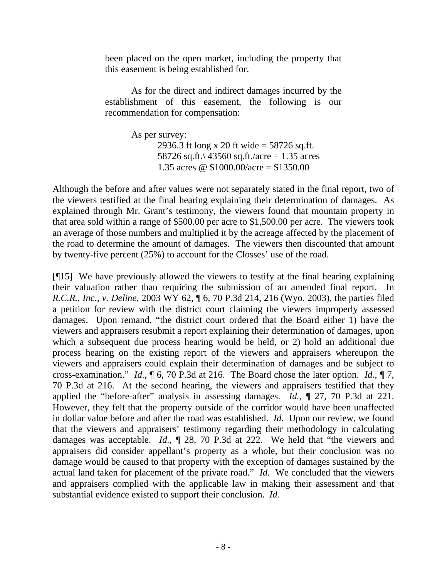been placed on the open market, including the property that this easement is being established for.

As for the direct and indirect damages incurred by the establishment of this easement, the following is our recommendation for compensation:

> As per survey: 2936.3 ft long x 20 ft wide = 58726 sq.ft. 58726 sq.ft. $\frac{43560 \text{ sq. ft}}{200 \text{ sq. ft}}$  acres 1.35 acres @  $$1000.00/acre = $1350.00$

Although the before and after values were not separately stated in the final report, two of the viewers testified at the final hearing explaining their determination of damages. As explained through Mr. Grant's testimony, the viewers found that mountain property in that area sold within a range of \$500.00 per acre to \$1,500.00 per acre. The viewers took an average of those numbers and multiplied it by the acreage affected by the placement of the road to determine the amount of damages. The viewers then discounted that amount by twenty-five percent (25%) to account for the Closses' use of the road.

[¶15] We have previously allowed the viewers to testify at the final hearing explaining their valuation rather than requiring the submission of an amended final report. In *R.C.R., Inc., v. Deline*, 2003 WY 62, ¶ 6, 70 P.3d 214, 216 (Wyo. 2003), the parties filed a petition for review with the district court claiming the viewers improperly assessed damages. Upon remand, "the district court ordered that the Board either 1) have the viewers and appraisers resubmit a report explaining their determination of damages, upon which a subsequent due process hearing would be held, or 2) hold an additional due process hearing on the existing report of the viewers and appraisers whereupon the viewers and appraisers could explain their determination of damages and be subject to cross-examination." *Id.*, ¶ 6, 70 P.3d at 216. The Board chose the later option. *Id*., ¶ 7, 70 P.3d at 216. At the second hearing, the viewers and appraisers testified that they applied the "before-after" analysis in assessing damages. *Id.*, ¶ 27, 70 P.3d at 221. However, they felt that the property outside of the corridor would have been unaffected in dollar value before and after the road was established. *Id*. Upon our review, we found that the viewers and appraisers' testimony regarding their methodology in calculating damages was acceptable. *Id.*, ¶ 28, 70 P.3d at 222. We held that "the viewers and appraisers did consider appellant's property as a whole, but their conclusion was no damage would be caused to that property with the exception of damages sustained by the actual land taken for placement of the private road." *Id.* We concluded that the viewers and appraisers complied with the applicable law in making their assessment and that substantial evidence existed to support their conclusion. *Id.*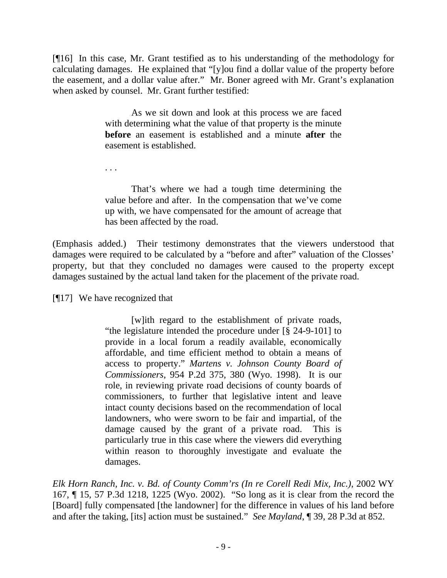[¶16] In this case, Mr. Grant testified as to his understanding of the methodology for calculating damages. He explained that "[y]ou find a dollar value of the property before the easement, and a dollar value after." Mr. Boner agreed with Mr. Grant's explanation when asked by counsel. Mr. Grant further testified:

> As we sit down and look at this process we are faced with determining what the value of that property is the minute **before** an easement is established and a minute **after** the easement is established.

. . .

 That's where we had a tough time determining the value before and after. In the compensation that we've come up with, we have compensated for the amount of acreage that has been affected by the road.

(Emphasis added.) Their testimony demonstrates that the viewers understood that damages were required to be calculated by a "before and after" valuation of the Closses' property, but that they concluded no damages were caused to the property except damages sustained by the actual land taken for the placement of the private road.

[¶17] We have recognized that

[w]ith regard to the establishment of private roads, "the legislature intended the procedure under [§ 24-9-101] to provide in a local forum a readily available, economically affordable, and time efficient method to obtain a means of access to property." *Martens v. Johnson County Board of Commissioners*, 954 P.2d 375, 380 (Wyo. 1998). It is our role, in reviewing private road decisions of county boards of commissioners, to further that legislative intent and leave intact county decisions based on the recommendation of local landowners, who were sworn to be fair and impartial, of the damage caused by the grant of a private road. This is particularly true in this case where the viewers did everything within reason to thoroughly investigate and evaluate the damages.

*[Elk Horn Ranch, Inc. v. Bd. of County Comm'rs \(In re Corell Redi Mix, Inc.\)](http://www.lexis.com/research/xlink?app=00075&view=full&searchtype=get&search=2002+WY+167)*, 2002 WY [167, ¶ 15, 57 P.3d 1218, 1225 \(Wyo. 2002\).](http://www.lexis.com/research/xlink?app=00075&view=full&searchtype=get&search=2002+WY+167) "So long as it is clear from the record the [Board] fully compensated [the landowner] for the difference in values of his land before and after the taking, [its] action must be sustained." *See Mayland*, ¶ 39, 28 P.3d at 852.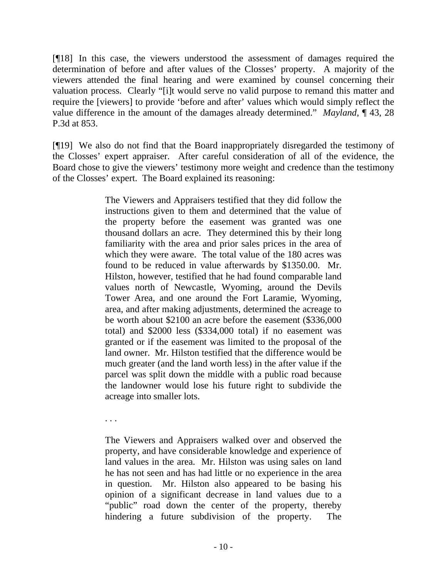[¶18] In this case, the viewers understood the assessment of damages required the determination of before and after values of the Closses' property. A majority of the viewers attended the final hearing and were examined by counsel concerning their valuation process. Clearly "[i]t would serve no valid purpose to remand this matter and require the [viewers] to provide 'before and after' values which would simply reflect the value difference in the amount of the damages already determined." *Mayland*, ¶ 43, 28 P.3d at 853.

[¶19] We also do not find that the Board inappropriately disregarded the testimony of the Closses' expert appraiser. After careful consideration of all of the evidence, the Board chose to give the viewers' testimony more weight and credence than the testimony of the Closses' expert. The Board explained its reasoning:

> The Viewers and Appraisers testified that they did follow the instructions given to them and determined that the value of the property before the easement was granted was one thousand dollars an acre. They determined this by their long familiarity with the area and prior sales prices in the area of which they were aware. The total value of the 180 acres was found to be reduced in value afterwards by \$1350.00. Mr. Hilston, however, testified that he had found comparable land values north of Newcastle, Wyoming, around the Devils Tower Area, and one around the Fort Laramie, Wyoming, area, and after making adjustments, determined the acreage to be worth about \$2100 an acre before the easement (\$336,000 total) and \$2000 less (\$334,000 total) if no easement was granted or if the easement was limited to the proposal of the land owner. Mr. Hilston testified that the difference would be much greater (and the land worth less) in the after value if the parcel was split down the middle with a public road because the landowner would lose his future right to subdivide the acreage into smaller lots.

. . .

The Viewers and Appraisers walked over and observed the property, and have considerable knowledge and experience of land values in the area. Mr. Hilston was using sales on land he has not seen and has had little or no experience in the area in question. Mr. Hilston also appeared to be basing his opinion of a significant decrease in land values due to a "public" road down the center of the property, thereby hindering a future subdivision of the property. The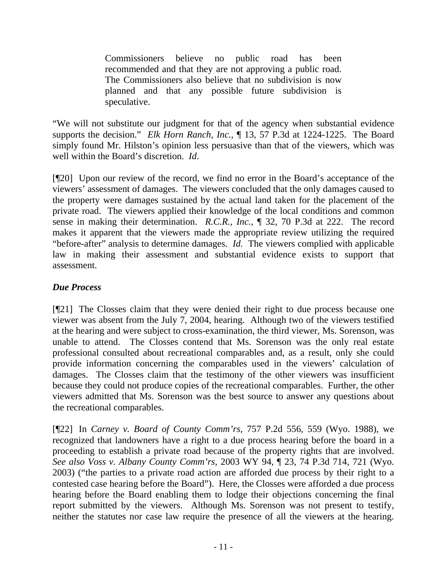Commissioners believe no public road has been recommended and that they are not approving a public road. The Commissioners also believe that no subdivision is now planned and that any possible future subdivision is speculative.

"We will not substitute our judgment for that of the agency when substantial evidence supports the decision." *Elk Horn Ranch, Inc.*[, ¶ 13, 57 P.3d at 1224-1225](http://www.lexis.com/research/xlink?app=00075&view=full&searchtype=get&search=2002+WY+167). The Board simply found Mr. Hilston's opinion less persuasive than that of the viewers, which was well within the Board's discretion. *[Id](http://www.lexis.com/research/xlink?app=00075&view=full&searchtype=get&search=2002+WY+167)*.

[¶20] Upon our review of the record, we find no error in the Board's acceptance of the viewers' assessment of damages. The viewers concluded that the only damages caused to the property were damages sustained by the actual land taken for the placement of the private road. The viewers applied their knowledge of the local conditions and common sense in making their determination. *R.C.R., Inc.,* ¶ 32, 70 P.3d at 222. The record makes it apparent that the viewers made the appropriate review utilizing the required "before-after" analysis to determine damages. *Id.* The viewers complied with applicable law in making their assessment and substantial evidence exists to support that assessment.

# *Due Process*

[¶21] The Closses claim that they were denied their right to due process because one viewer was absent from the July 7, 2004, hearing. Although two of the viewers testified at the hearing and were subject to cross-examination, the third viewer, Ms. Sorenson, was unable to attend. The Closses contend that Ms. Sorenson was the only real estate professional consulted about recreational comparables and, as a result, only she could provide information concerning the comparables used in the viewers' calculation of damages. The Closses claim that the testimony of the other viewers was insufficient because they could not produce copies of the recreational comparables. Further, the other viewers admitted that Ms. Sorenson was the best source to answer any questions about the recreational comparables.

[¶22] In *Carney v. Board of County Comm'rs,* 757 P.2d 556, 559 (Wyo. 1988), we recognized that landowners have a right to a due process hearing before the board in a proceeding to establish a private road because of the property rights that are involved. *See also Voss v. Albany County Comm'rs*, 2003 WY 94, ¶ 23, 74 P.3d 714, 721 (Wyo. 2003) ("the parties to a private road action are afforded due process by their right to a contested case hearing before the Board"). Here, the Closses were afforded a due process hearing before the Board enabling them to lodge their objections concerning the final report submitted by the viewers. Although Ms. Sorenson was not present to testify, neither the statutes nor case law require the presence of all the viewers at the hearing.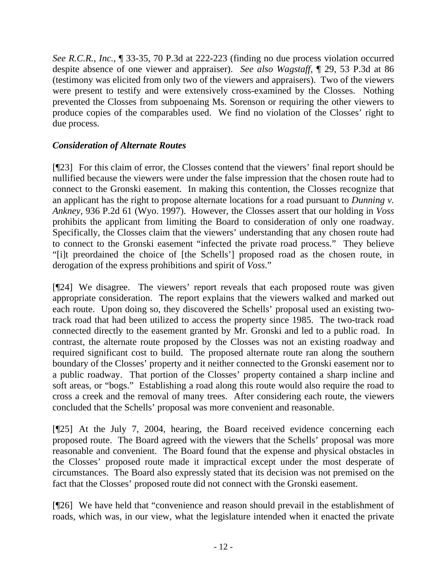*See R.C.R., Inc.,* ¶ 33-35, 70 P.3d at 222-223 (finding no due process violation occurred despite absence of one viewer and appraiser). *See also Wagstaff*[, ¶ 29, 53 P.3d at 86](http://www.lexis.com/research/xlink?app=00075&view=full&searchtype=get&search=2002+WY+123%2C+P7) (testimony was elicited from only two of the viewers and appraisers). Two of the viewers were present to testify and were extensively cross-examined by the Closses. Nothing prevented the Closses from subpoenaing Ms. Sorenson or requiring the other viewers to produce copies of the comparables used. We find no violation of the Closses' right to due process.

## *Consideration of Alternate Routes*

[¶23] For this claim of error, the Closses contend that the viewers' final report should be nullified because the viewers were under the false impression that the chosen route had to connect to the Gronski easement. In making this contention, the Closses recognize that an applicant has the right to propose alternate locations for a road pursuant to *Dunning v. Ankney,* 936 P.2d 61 (Wyo. 1997). However, the Closses assert that our holding in *Voss*  prohibits the applicant from limiting the Board to consideration of only one roadway. Specifically, the Closses claim that the viewers' understanding that any chosen route had to connect to the Gronski easement "infected the private road process." They believe "[i]t preordained the choice of [the Schells'] proposed road as the chosen route, in derogation of the express prohibitions and spirit of *Voss*."

[¶24] We disagree. The viewers' report reveals that each proposed route was given appropriate consideration. The report explains that the viewers walked and marked out each route. Upon doing so, they discovered the Schells' proposal used an existing twotrack road that had been utilized to access the property since 1985. The two-track road connected directly to the easement granted by Mr. Gronski and led to a public road. In contrast, the alternate route proposed by the Closses was not an existing roadway and required significant cost to build. The proposed alternate route ran along the southern boundary of the Closses' property and it neither connected to the Gronski easement nor to a public roadway. That portion of the Closses' property contained a sharp incline and soft areas, or "bogs." Establishing a road along this route would also require the road to cross a creek and the removal of many trees. After considering each route, the viewers concluded that the Schells' proposal was more convenient and reasonable.

[¶25] At the July 7, 2004, hearing, the Board received evidence concerning each proposed route. The Board agreed with the viewers that the Schells' proposal was more reasonable and convenient. The Board found that the expense and physical obstacles in the Closses' proposed route made it impractical except under the most desperate of circumstances. The Board also expressly stated that its decision was not premised on the fact that the Closses' proposed route did not connect with the Gronski easement.

[¶26] We have held that "convenience and reason should prevail in the establishment of roads, which was, in our view, what the legislature intended when it enacted the private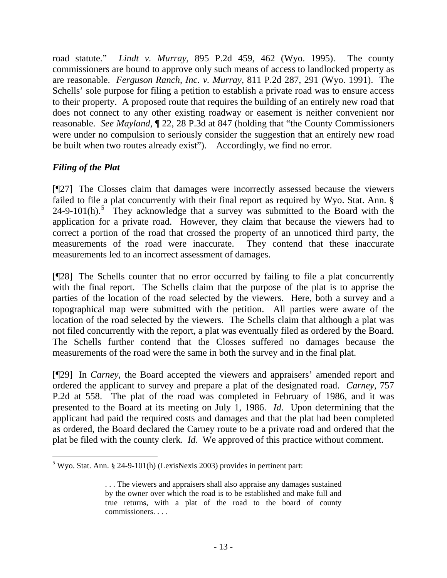road statute." *Lindt v. Murray*, 895 P.2d 459, 462 (Wyo. 1995). The county commissioners are bound to approve only such means of access to landlocked property as are reasonable. *Ferguson Ranch, Inc. v. Murray*, 811 P.2d 287, 291 (Wyo. 1991). The Schells' sole purpose for filing a petition to establish a private road was to ensure access to their property. A proposed route that requires the building of an entirely new road that does not connect to any other existing roadway or easement is neither convenient nor reasonable. *See Mayland*, ¶ 22, 28 P.3d at 847 (holding that "the County Commissioners were under no compulsion to seriously consider the suggestion that an entirely new road be built when two routes already exist"). Accordingly, we find no error.

# *Filing of the Plat*

[¶27] The Closses claim that damages were incorrectly assessed because the viewers failed to file a plat concurrently with their final report as required by Wyo. Stat. Ann. §  $24-9-101(h)$ .<sup>[5](#page-13-0)</sup> They acknowledge that a survey was submitted to the Board with the application for a private road. However, they claim that because the viewers had to correct a portion of the road that crossed the property of an unnoticed third party, the measurements of the road were inaccurate. They contend that these inaccurate measurements led to an incorrect assessment of damages.

[¶28] The Schells counter that no error occurred by failing to file a plat concurrently with the final report. The Schells claim that the purpose of the plat is to apprise the parties of the location of the road selected by the viewers. Here, both a survey and a topographical map were submitted with the petition. All parties were aware of the location of the road selected by the viewers. The Schells claim that although a plat was not filed concurrently with the report, a plat was eventually filed as ordered by the Board. The Schells further contend that the Closses suffered no damages because the measurements of the road were the same in both the survey and in the final plat.

[¶29] In *Carney,* the Board accepted the viewers and appraisers' amended report and ordered the applicant to survey and prepare a plat of the designated road. *Carney*, 757 P.2d at 558. The plat of the road was completed in February of 1986, and it was presented to the Board at its meeting on July 1, 1986. *Id*. Upon determining that the applicant had paid the required costs and damages and that the plat had been completed as ordered, the Board declared the Carney route to be a private road and ordered that the plat be filed with the county clerk. *Id*. We approved of this practice without comment.

<span id="page-13-0"></span> $\overline{a}$ <sup>5</sup> Wyo. Stat. Ann. § 24-9-101(h) (LexisNexis 2003) provides in pertinent part:

<sup>. . .</sup> The viewers and appraisers shall also appraise any damages sustained by the owner over which the road is to be established and make full and true returns, with a plat of the road to the board of county commissioners. . . .